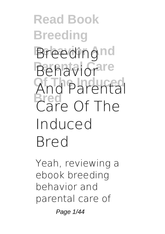**Read Book Breeding Breedingnd Behaviorare Of The Induced And Parental Bred Care Of The Induced Bred**

Yeah, reviewing a ebook **breeding behavior and parental care of**

Page 1/44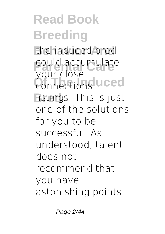**Read Book Breeding Behavior And the induced bred** could accumulate **Connections** uced **Bred** listings. This is just your close one of the solutions for you to be successful. As understood, talent does not recommend that you have astonishing points.

Page 2/44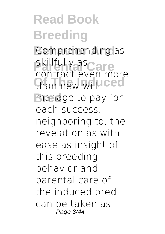**Read Book Breeding Comprehending as Paragonal Care** than new will ced manage to pay for contract even more each success. neighboring to, the revelation as with ease as insight of this breeding behavior and parental care of the induced bred can be taken as Page 3/44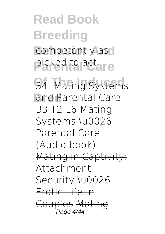**Read Book Breeding** competently as picked to act. re

**Of The Induced 34. Mating Systems Bred and Parental Care B3 T2 L6 Mating Systems \u0026 Parental Care (Audio book)** Mating in Captivity: Attachment Security \u0026 Erotic Life in Couples Mating Page 4/44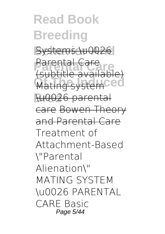**Read Book Breeding** Systems \u0026 **Parental Care** (subtitle available) **Mating system<sup>ced</sup> Bred** \u0026 parental Parental Care care Bowen Theory and Parental Care **Treatment of Attachment-Based \"Parental Alienation\"** MATING SYSTEM \u0026 PARENTAL CARE *Basic* Page 5/44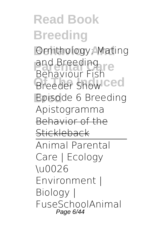#### **Read Book Breeding Behavior And** *Ornithology: Mating* and Breeding<br>**Pahaviour Fish Breeder Show Ced Bred Episode 6 Breeding** *Behaviour* **Fish Apistogramma** Behavior of the **Stickleback** Animal Parental Care | Ecology \u0026 Environment | Biology | FuseSchool*Animal* Page 6/44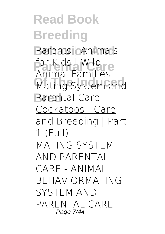**Read Book Breeding Parents | Animals** *for Kids | Wild*<br> *Animal* Families **Mating System and Parental Care** *Animal Families* Cockatoos | Care and Breeding | Part 1 (Full) MATING SYSTEM AND PARENTAL CARE - ANIMAL BEHAVIOR*MATING SYSTEM AND PARENTAL CARE* Page 7/44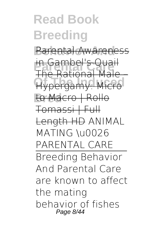# **Read Book Breeding**

**Parental Awareness** 

**in Gambel's Quail Hypergamy: Micro** The Rational

**Bred** to Macro | Rollo Tomassi | Full

Length HD ANIMAL MATING \u0026 PARENTAL CARE Breeding Behavior And Parental Care are known to affect the mating behavior of fishes Page 8/44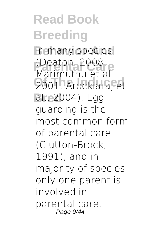**Read Book Breeding** in many species **(Deaton, 2008;**<br>Marimuthu of al **Of The Induced** 2001; Arockiaraj et **Bred** al., 2004). Egg Marimuthu et al. guarding is the most common form of parental care (Clutton-Brock, 1991), and in majority of species only one parent is involved in parental care. Page 9/44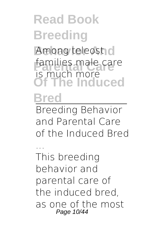#### **Read Book Breeding** Among teleost<sub>10</sub> families male care **Of The Induced Bred** is much more Breeding Behavior

and Parental Care of the Induced Bred

... This breeding behavior and parental care of the induced bred, as one of the most Page 10/44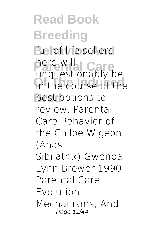**Read Book Breeding** full of life sellers **Parental Care** unquestionably be in the course of the **Bred** best options to here will review. Parental Care Behavior of the Chiloe Wigeon (Anas Sibilatrix)-Gwenda Lynn Brewer 1990 Parental Care: Evolution, Mechanisms, And Page 11/44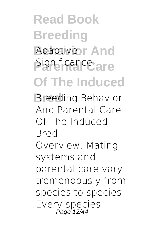# **Read Book Breeding Adaptiveor And** Significance-<sub>are</sub> **Of The Induced**

**Bred** Breeding Behavior And Parental Care Of The Induced Bred ...

Overview. Mating systems and parental care vary tremendously from species to species. Every species Page 12/44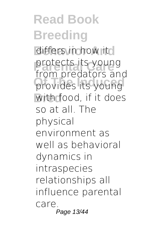**Read Book Breeding** differs in how itcl protects its young **Provides its young Bred** with food, if it does from predators and so at all. The physical environment as well as behavioral dynamics in intraspecies relationships all influence parental care. Page 13/44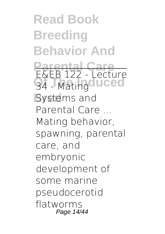**Read Book Breeding Behavior And Parental Care S4 - Matingduced Systems and** E&EB 122 - Lecture Parental Care Mating behavior, spawning, parental care, and embryonic development of some marine pseudocerotid flatworms Page 14/44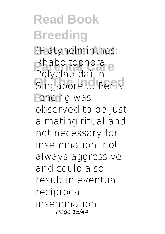**Read Book Breeding Behavior And** (Platyhelminthes: Rhabditophora:<br>Palveladida) in **Singapore ... Penis** fencing was Polycladida) in observed to be just a mating ritual and not necessary for insemination, not always aggressive, and could also result in eventual reciprocal insemination ... Page 15/44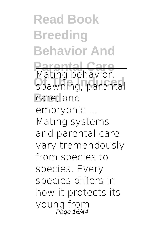**Read Book Breeding Behavior And Parental Care Of The Induced** spawning, parental care, and Mating behavior, embryonic ... Mating systems and parental care vary tremendously from species to species. Every species differs in how it protects its young from<br>Page 16/44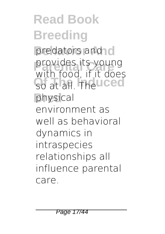**Read Book Breeding** predators and c provides its young So at all. The **uced Bred** physical with food, if it does environment as well as behavioral dynamics in intraspecies relationships all influence parental care.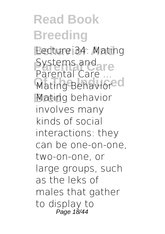**Read Book Breeding Lecture 34: Mating** Systems and re **Mating Behaviored Bred** Mating behavior Parental Care involves many kinds of social interactions: they can be one-on-one, two-on-one, or large groups, such as the leks of males that gather to display to Page 18/44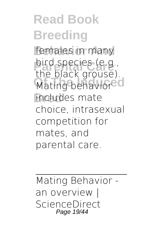**Read Book Breeding** females in many bird species (e.g.,<br>the black groups) **Mating behaviored Bred** includes mate the black grouse). choice, intrasexual competition for mates, and parental care.

Mating Behavior an overview | ScienceDirect Page 19/44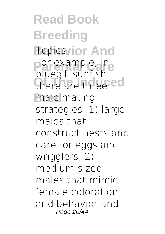**Read Book Breeding Behavior And For example, in**<br>blue aill cuptich there are three<sup>ced</sup> **Bred** male mating bluegill sunfish strategies: 1) large males that construct nests and care for eggs and wrigglers; 2) medium-sized males that mimic female coloration and behavior and Page 20/44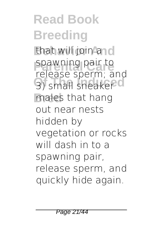**Read Book Breeding** that will join and spawning pair to **3)** small sneaker<sup>cl</sup> **Bred** males that hang release sperm; and out near nests hidden by vegetation or rocks will dash in to a spawning pair, release sperm, and quickly hide again.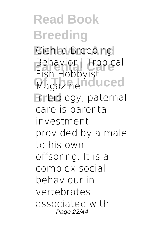**Read Book Breeding Cichlid Breeding Behavior | Tropical** Magazine nduced **Bred** In biology, paternal Fish Hobbyist care is parental investment provided by a male to his own offspring. It is a complex social behaviour in vertebrates associated with Page 22/44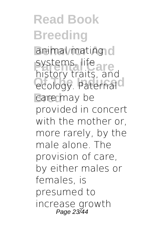**Read Book Breeding** animal mating c systems, life<br>**pistery** traits are **Produced** Paternal care may be history traits, and provided in concert with the mother or, more rarely, by the male alone. The provision of care, by either males or females, is presumed to increase growth Page 23/44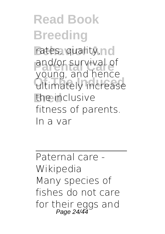**Read Book Breeding** rates, quality, no and/or survival of **Oding, and neited Bred** the inclusive young, and hence fitness of parents. In a var

Paternal care - Wikipedia Many species of fishes do not care for their eggs and Page 24/44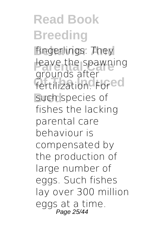**Read Book Breeding** fingerlings. They leave the spawning fertilization<sup>o</sup> Fored such species of grounds after fishes the lacking parental care behaviour is compensated by the production of large number of eggs. Such fishes lay over 300 million eggs at a time. Page 25/44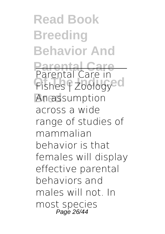**Read Book Breeding Behavior And Parental Care** Fishes | Zoology<sup>ed</sup> **Bred** An assumption Parental Care in across a wide range of studies of mammalian behavior is that females will display effective parental behaviors and males will not. In most species Page 26/44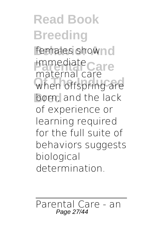**Read Book Breeding** females shownd **immediate**<br>
material care when offspring are born, and the lack maternal care of experience or learning required for the full suite of behaviors suggests biological determination.

Parental Care - an Page 27/44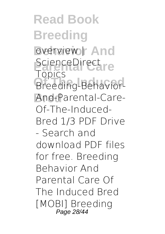**Read Book Breeding** overview | And ScienceDirect<sub>re</sub> **Breeding-Behavior-Bred** And-Parental-Care-Topics Of-The-Induced-Bred 1/3 PDF Drive - Search and download PDF files for free. Breeding Behavior And Parental Care Of The Induced Bred [MOBI] Breeding Page 28/44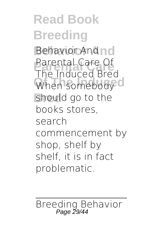**Read Book Breeding Behavior And** Behavior And **Parental Care** Parental Care Of When somebody<sup>ol</sup> **Bred** should go to the The Induced Bred books stores, search commencement by shop, shelf by shelf, it is in fact problematic.

Breeding Behavior Page 29/44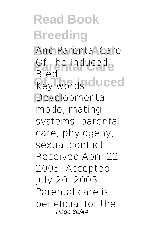**Read Book Breeding** And Parental Care **Produced Rey words.duced Bred** Developmental Bred mode, mating systems, parental care, phylogeny, sexual conflict. Received April 22, 2005. Accepted July 20, 2005. Parental care is beneficial for the Page 30/44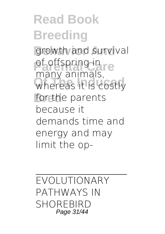**Read Book Breeding** growth and survival of offspring in re whereas it is costly for the parents many animals, because it demands time and energy and may limit the op-

EVOLUTIONARY PATHWAYS IN SHORFBIRD Page 31/44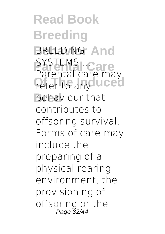**Read Book Breeding BREEDING And Parents ...**<br>Parental care *Pefer to any* **uced Bred** behaviour that Parental care may contributes to offspring survival. Forms of care may include the preparing of a physical rearing environment, the provisioning of offspring or the Page 32/44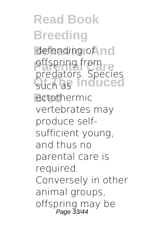**Read Book Breeding** defending of nd **prodetors** Cancel Such as **Induced Bred** ectothermic predators. Species vertebrates may produce selfsufficient young, and thus no parental care is required. Conversely in other animal groups, offspring may be Page 33/44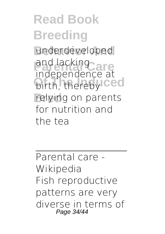**Read Book Breeding** underdeveloped and lacking<br>indonendence at *Dirth, thereby* Ced **Bred** relying on parents independence at for nutrition and the tea

Parental care - Wikipedia Fish reproductive patterns are very diverse in terms of Page 34/44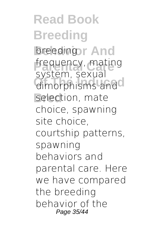**Read Book Breeding breedingsr And** frequency, mating dimorphisms and selection, mate system, sexual choice, spawning site choice, courtship patterns, spawning behaviors and parental care. Here we have compared the breeding behavior of the Page 35/44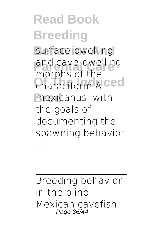**Read Book Breeding** surface-dwelling and cave-dwelling **Characiform A.ced Bred** mexicanus, with morphs of the the goals of documenting the spawning behavior

Breeding behavior in the blind Mexican cavefish Page 36/44

...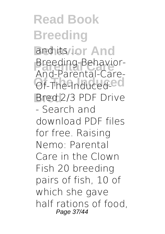**Read Book Breeding** and its ... or And **Breeding-Behavior-**Of-The-Induced-CO **Bred** Bred 2/3 PDF Drive And-Parental-Care-- Search and download PDF files for free. Raising Nemo: Parental Care in the Clown Fish 20 breeding pairs of fish, 10 of which she gave half rations of food, Page 37/44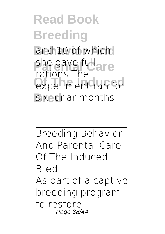**Read Book Breeding** and 10 of which she gave full<br>
rations The experiment ran for **Bix lunar months** rations The

Breeding Behavior And Parental Care Of The Induced Bred As part of a captivebreeding program to restore Page 38/44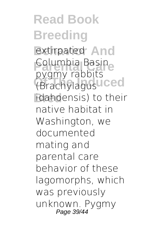**Read Book Breeding** extirpated **And Columbia Basine Of The Induced** (Brachylagus idahoensis) to their pygmy rabbits native habitat in Washington, we documented mating and parental care behavior of these lagomorphs, which was previously unknown. Pygmy Page 39/44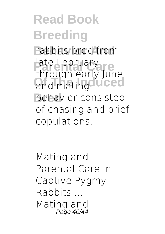**Read Book Breeding** rabbits bred from late February<br>
through early lur and mating<sup>o</sup> uced behavior consisted through early June, of chasing and brief copulations.

Mating and Parental Care in Captive Pygmy Rabbits ... Mating and Page 40/44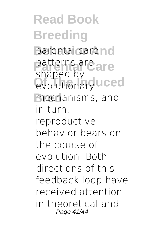**Read Book Breeding** parental care no patterns are<br>change by **evolutionary** uced **Bred** mechanisms, and shaped by in turn, reproductive behavior bears on the course of evolution. Both directions of this feedback loop have received attention in theoretical and Page 41/44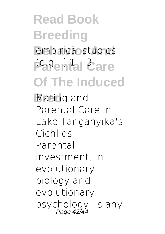# **Read Book Breeding** empirical studies I<sup>te</sup>a<sup>g</sup>ehtal Care **Of The Induced**

**Mating and** Parental Care in Lake Tanganyika's Cichlids Parental investment, in evolutionary biology and evolutionary psychology, is any Page 42/44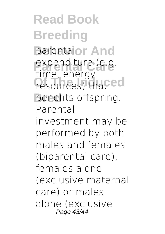**Read Book Breeding** parentalor And expenditure (e.g.<br>time energy resources) that ed benefits offspring. time, energy, Parental investment may be performed by both males and females (biparental care), females alone (exclusive maternal care) or males alone (exclusive Page 43/44